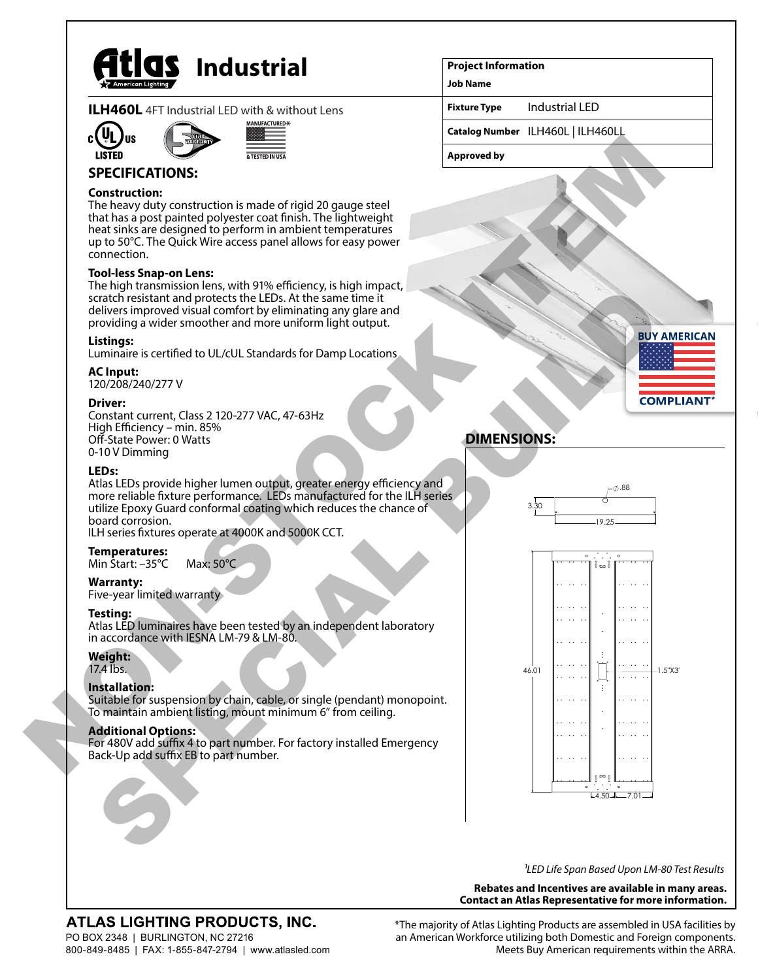

**ILH460L** 4FT Industrial LED with & without Lens





## **SPECIFICATIONS:**

#### **Construction:**

The heavy duty construction is made of rigid 20 gauge steel that has a post painted polyester coat finish. The lightweight heat sinks are designed to perform in ambient temperatures up to 50°C. The Quick Wire access panel allows for easy power connection.

#### **Tool-less Snap-on Lens:**

The high transmission lens, with 91% efficiency, is high impact, scratch resistant and protects the LEDs. At the same time it delivers improved visual comfort by eliminating any glare and providing a wider smoother and more uniform light output.

#### **Listings:**

Luminaire is certified to UL/cUL Standards for Damp Locations

#### **AC Input:**

120/208/240/277 V

#### **Driver:**

Constant current, Class 2 120-277 VAC, 47-63Hz High Efficiency – min. 85% Off-State Power: 0 Watts 0-10 V Dimming

#### **LEDs:**

Atlas LEDs provide higher lumen output, greater energy efficiency and more reliable fixture performance. LEDs manufactured for the ILH series utilize Epoxy Guard conformal coating which reduces the chance of board corrosion.

ILH series fixtures operate at 4000K and 5000K CCT.

## **Temperatures:**

Min Start: –35°C Max: 50°C

## **Warranty:**

Five-year limited warranty

## **Testing:**

Atlas LED luminaires have been tested by an independent laboratory in accordance with IESNA LM-79 & LM-80.

## **Weight:**

17.4 lbs.

## **Installation:**

Suitable for suspension by chain, cable, or single (pendant) monopoint. To maintain ambient listing, mount minimum 6" from ceiling.

## **Additional Options:**

For 480V add suffix 4 to part number. For factory installed Emergency Back-Up add suffix EB to part number.

#### **Project Information**

**Job Name**

**Fixture Type** Industrial LED

**Catalog Number** ILH460L | ILH460LL

**Approved by**



# **DIMENSIONS:**





*1LED Life Span Based Upon LM-80 Test Results*

#### **Rebates and Incentives are available in many areas. Contact an Atlas Representative for more information.**

## ATLAS LIGHTING PRODUCTS, INC.

PO BOX 2348 | BURLINGTON, NC 27216 800-849-8485 | FAX: 1-855-847-2794 | www.atlasled.com \*The majority of Atlas Lighting Products are assembled in USA facilities by an American Workforce utilizing both Domestic and Foreign components. Meets Buy American requirements within the ARRA.